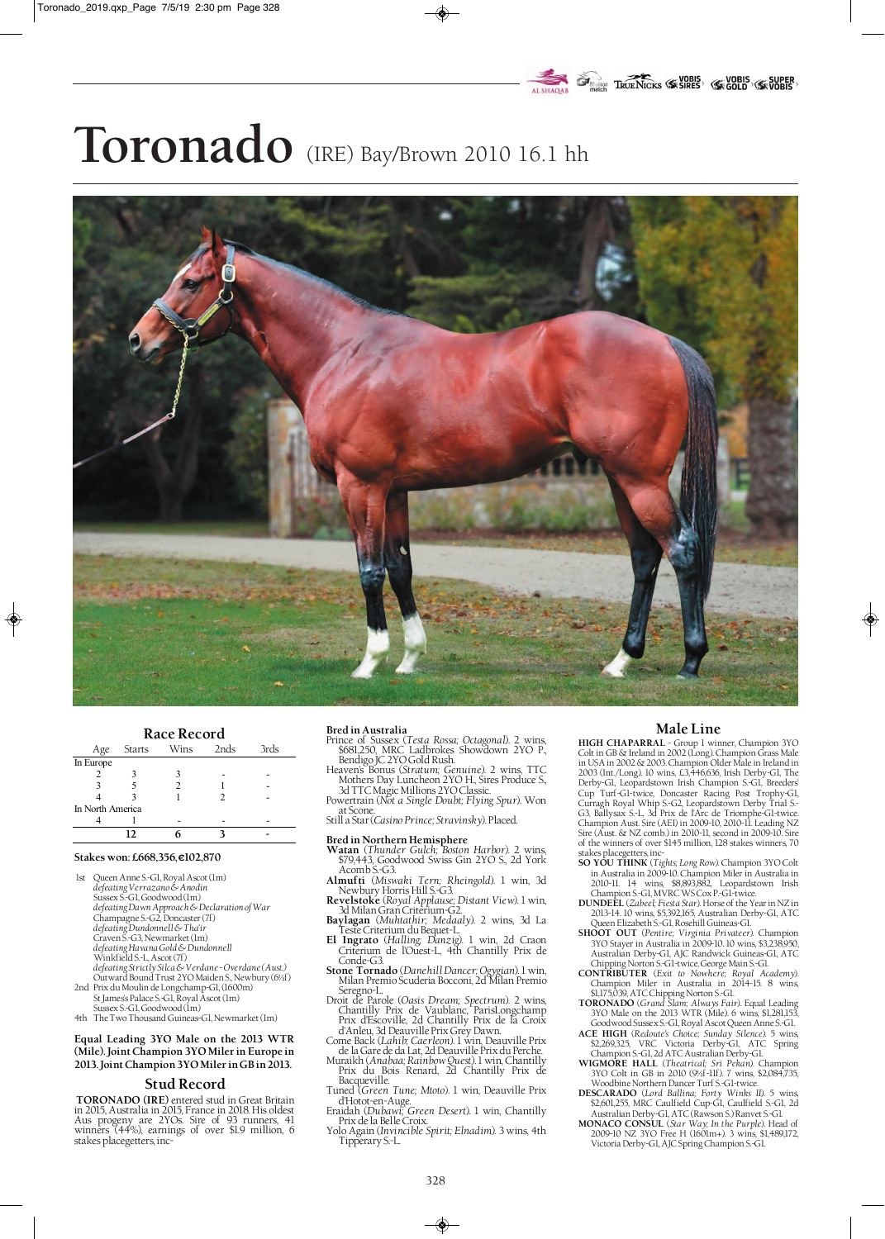# **EXAMPLE PROPERTY AND SUPER SUPER TRUE NORTH TRUE NICKS (SK SIRES)** (SK GOLD)

# **Toronado** (IRE) Bay/Brown 2010 16.1 hh



### **Race Record**

| nace necesia     |        |      |      |      |  |  |  |
|------------------|--------|------|------|------|--|--|--|
| Age              | Starts | Wins | 2nds | 3rds |  |  |  |
| In Europe        |        |      |      |      |  |  |  |
|                  |        |      |      |      |  |  |  |
|                  |        |      |      |      |  |  |  |
|                  |        |      |      |      |  |  |  |
| In North America |        |      |      |      |  |  |  |
|                  |        |      |      |      |  |  |  |
|                  | 12     |      |      |      |  |  |  |

## **Stakes won: £668,356, €102,870**

- 1st Queen Anne S.-G1, Royal Ascot (1m) *defeating Verrazano & Anodin* Sussex S.-G1, Goodwood (1m) *defeating Dawn Approach & Declaration of War* Champagne S.-G2, Doncaster (7f) *defeating Dundonnell & Tha'ir* Craven S.-G3, Newmarket (1m) *defeating Havana Gold & Dundonnell* Winkfield S.-L, Ascot (7f) *defeating Strictly Silca & Verdane - Overdane (Aust.)* Outward Bound Trust 2YO Maiden S., Newbury (6½f) 2nd Prix du Moulin de Longchamp-G1, (1600m)
- St James's Palace S.-G1, Royal Ascot (1m) Sussex S.-G1, Goodwood (1m)
- 4th The Two Thousand Guineas-G1, Newmarket (1m)

**Equal Leading 3YO Male on the 2013 WTR (Mile). Joint Champion 3YO Miler in Europe in 2013. Joint Champion 3YO Miler in GB in 2013.**

# **Stud Record**

**TORONADO (IRE)** entered stud in Great Britain in 2015, Australia in 2015, France in 2018. His oldest Aus progeny are 2YOs. Sire of 93 runners, 41 winners (44%), earnings of over \$1.9 million, 6 stakes placegetters, inc-

#### **Bred in Australia**

- Prince of Sussex (*Testa Rossa; Octagonal*). 2 wins, \$681,250, MRC Ladbrokes Showdown 2YO P., Bendigo JC 2YO Gold Rush.
- Heaven's Bonus (*Stratum; Genuine*). 2 wins, TTC Mothers Day Luncheon 2YO H., Sires Produce S., 3d TTC Magic Millions 2YO Classic.
- Powertrain (*Not a Single Doubt; Flying Spur*). Won at Scone. Still a Star (*Casino Prince; Stravinsky*). Placed.

# **Bred in Northern Hemisphere**

- **Watan** (*Thunder Gulch; Boston Harbor*). 2 wins, \$79,443, Goodwood Swiss Gin 2YO S., 2d York Acomb S.-G3. **Almufti** (*Miswaki Tern; Rheingold*). 1 win, 3d
- Newbury Horris Hill S.-G3. **Revelstoke** (*Royal Applause; Distant View*). 1 win,
- 3d Milan Gran Criterium-G2. **Baylagan** (*Muhtathir; Medaaly*). 2 wins, 3d La Teste Criterium du Bequet-L.
- **El Ingrato** (*Halling; Danzig*). 1 win, 2d Craon
- Criterium de l'Ouest-L, 4th Chantilly Prix de Conde-G3. **Stone Tornado** (*Danehill Dancer; Ogygian*). 1 win,
- Milan Premio Scuderia Bocconi, 2d Milan Premio Seregno-L.
- Droit de Parole (*Oasis Dream; Spectrum*). 2 wins, Chantilly Prix de Vaublanc, ParisLongchamp Prix d'Escoville, 2d Chantilly Prix de la Croix d'Anleu, 3d Deauville Prix Grey Dawn.
- Come Back (*Lahib; Caerleon*). 1 win, Deauville Prix de la Gare de da Lat, 2d Deauville Prix du Perche.
- Muraikh (*Anabaa; Rainbow Quest*). 1 win, Chantilly Prix du Bois Renard, 2d Chantilly Prix de Bacqueville.
- Tuned (*Green Tune; Mtoto*). 1 win, Deauville Prix d'Hotot-en-Auge. Eraidah (*Dubawi; Green Desert*). 1 win, Chantilly
- Prix de la Belle Croix.
- Yolo Again (*Invincible Spirit; Elnadim*). 3 wins, 4th Tipperary S.-L.

# **Male Line**

♦

**HIGH CHAPARRAL** - Group 1 winner, Champion 3YO Colt in GB & Ireland in 2002 (Long). Champion Grass Male in USA in 2002 & 2003. Champion Older Male in Ireland in 2003 (Int./Long). 10 wins, £3,446,636, Irish Derby-G1, The Derby-G1, Leopardstown Irish Champion S.-G1, Breeders' Cup Turf-G1-twice, Doncaster Racing Post Trophy-G1, Curragh Royal Whip S.-G2, Leopardstown Derby Trial S.- G3, Ballysax S.-L, 3d Prix de l'Arc de Triomphe-G1-twice. Champion Aust. Sire (AEI) in 2009-10, 2010-11. Leading NZ Sire (Aust. & NZ comb.) in 2010-11, second in 2009-10. Sire of the winners of over \$145 million, 128 stakes winners, 70 stakes placegetters, inc-

- **SO YOU THINK** (*Tights; Long Row*). Champion 3YO Colt in Australia in 2009-10. Champion Miler in Australia in 2010-11. 14 wins, \$8,893,882, Leopardstown Irish Champion S.-G1, MVRC WS Cox P.-G1-twice.
- **DUNDEEL** (*Zabeel; Fiesta Star*). Horse of the Year in NZ in 2013-14. 10 wins, \$5,392,165, Australian Derby-Gl, ATC 2013-14. 10 wins, \$5,392,165, Australian Derby-G1, ATC Queen Elizabeth S.-G1, Rosehill Guineas-G1. **SHOOT OUT** (*Pentire; Virginia Privateer*). Champion
- 3YO Stayer in Australia in 2009-10. 10 wins, \$3,238,950, Australian Derby-G1, AJC Randwick Guineas-G1, ATC
- Chipping Norton S.-G1-twice, George Main S.-G1. **CONTRIBUTER** (*Exit to Nowhere; Royal Academy*). Champion Miler in Australia in 2014-15. 8 wins,
- \$1,175,039, ATC Chipping Norton S.-G1. **TORONADO** (*Grand Slam; Always Fair*). Equal Leading 3YO Male on the 2013 WTR (Mile). 6 wins, \$1,281,153,
- Goodwood Sussex S.-G1, Royal Ascot Queen Anne S.-G1. **ACE HIGH** (*Redoute's Choice; Sunday Silence*). 5 wins, \$2,269,325, VRC Victoria Derby-G1, ATC Spring Champion S.-G1, 2d ATC Australian Derby-G1. **WIGMORE HALL** (*Theatrical; Sri Pekan*). Champion
- 3YO Colt in GB in 2010 (9½f-11f). 7 wins, \$2,084,735, Woodbine Northern Dancer Turf S.-G1-twice.
- **DESCARADO** (*Lord Ballina; Forty Winks II*). 5 wins, \$2,601,255, MRC Caulfield Cup-G1, Caulfield S.-G1, 2d
- Australian Derby-G1, ATC (Rawson S.) Ranvet S.-G1. **MONACO CONSUL** (*Star Way; In the Purple*). Head of 2009-10 NZ 3YO Free H (1601m+). 3 wins, \$1,489,172, Victoria Derby-G1, AJC Spring Champion S.-G1.